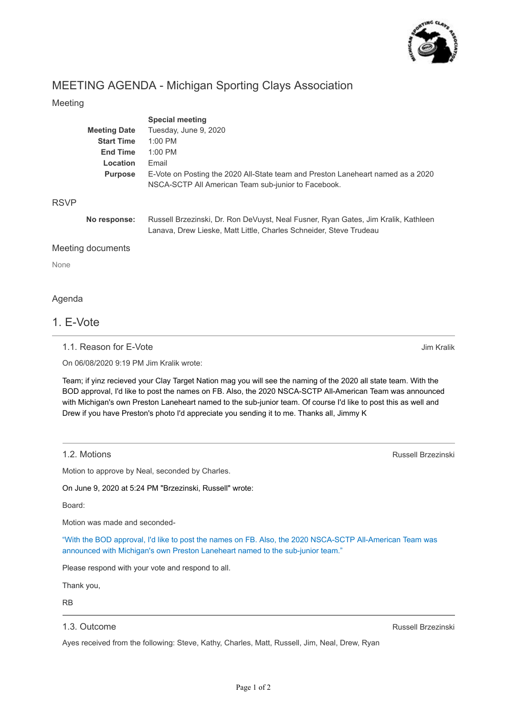

## MEETING AGENDA - Michigan Sporting Clays Association

## Meeting

|                   |                     | <b>Special meeting</b>                                                                                                                                   |
|-------------------|---------------------|----------------------------------------------------------------------------------------------------------------------------------------------------------|
|                   | <b>Meeting Date</b> | Tuesday, June 9, 2020                                                                                                                                    |
|                   | <b>Start Time</b>   | $1:00$ PM                                                                                                                                                |
|                   | <b>End Time</b>     | $1:00$ PM                                                                                                                                                |
|                   | Location            | Email                                                                                                                                                    |
|                   | <b>Purpose</b>      | E-Vote on Posting the 2020 All-State team and Preston Laneheart named as a 2020                                                                          |
|                   |                     | NSCA-SCTP All American Team sub-junior to Facebook.                                                                                                      |
| <b>RSVP</b>       |                     |                                                                                                                                                          |
|                   | No response:        | Russell Brzezinski, Dr. Ron DeVuyst, Neal Fusner, Ryan Gates, Jim Kralik, Kathleen<br>Lanava, Drew Lieske, Matt Little, Charles Schneider, Steve Trudeau |
| Meeting documents |                     |                                                                                                                                                          |

None

### Agenda

## 1. E-Vote

1.1. Reason for E-Vote

On 06/08/2020 9:19 PM Jim Kralik wrote:

Team; if yinz recieved your Clay Target Nation mag you will see the naming of the 2020 all state team. With the BOD approval, I'd like to post the names on FB. Also, the 2020 NSCA-SCTP All-American Team was announced with Michigan's own Preston Laneheart named to the sub-junior team. Of course I'd like to post this as well and Drew if you have Preston's photo I'd appreciate you sending it to me. Thanks all, Jimmy K

#### 1.2. Motions

Motion to approve by Neal, seconded by Charles.

On June 9, 2020 at 5:24 PM "Brzezinski, Russell" wrote:

Board:

Motion was made and seconded-

"With the BOD approval, I'd like to post the names on FB. Also, the 2020 NSCA-SCTP All-American Team was announced with Michigan's own Preston Laneheart named to the sub-junior team."

Please respond with your vote and respond to all.

Thank you,

RB

### 1.3. Outcome

Russell Brzezinski

Ayes received from the following: Steve, Kathy, Charles, Matt, Russell, Jim, Neal, Drew, Ryan

Russell Brzezinski

Jim Kralik